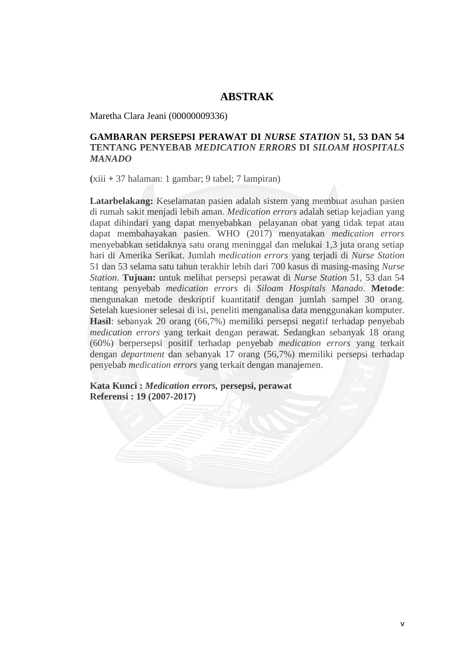## **ABSTRAK**

Maretha Clara Jeani (00000009336)

## **GAMBARAN PERSEPSI PERAWAT DI** *NURSE STATION* **51, 53 DAN 54 TENTANG PENYEBAB** *MEDICATION ERRORS* **DI** *SILOAM HOSPITALS MANADO*

**(**xiii **+** 37 halaman: 1 gambar; 9 tabel; 7 lampiran)

**Latarbelakang:** Keselamatan pasien adalah sistem yang membuat asuhan pasien di rumah sakit menjadi lebih aman. *Medication errors* adalah setiap kejadian yang dapat dihindari yang dapat menyebabkan pelayanan obat yang tidak tepat atau dapat membahayakan pasien. WHO (2017) menyatakan *medication errors*  menyebabkan setidaknya satu orang meninggal dan melukai 1,3 juta orang setiap hari di Amerika Serikat. Jumlah *medication errors* yang terjadi di *Nurse Station*  51 dan 53 selama satu tahun terakhir lebih dari 700 kasus di masing-masing *Nurse Station*. **Tujuan:** untuk melihat persepsi perawat di *Nurse Station* 51, 53 dan 54 tentang penyebab *medication errors* di *Siloam Hospitals Manado*. **Metode**: mengunakan metode deskriptif kuantitatif dengan jumlah sampel 30 orang. Setelah kuesioner selesai di isi, peneliti menganalisa data menggunakan komputer. **Hasil**: sebanyak 20 orang (66,7%) memiliki persepsi negatif terhadap penyebab *medication errors* yang terkait dengan perawat. Sedangkan sebanyak 18 orang (60%) berpersepsi positif terhadap penyebab *medication errors* yang terkait dengan *department* dan sebanyak 17 orang (56,7%) memiliki persepsi terhadap penyebab *medication errors* yang terkait dengan manajemen.

**Kata Kunci :** *Medication errors,* **persepsi, perawat Referensi : 19 (2007-2017)**